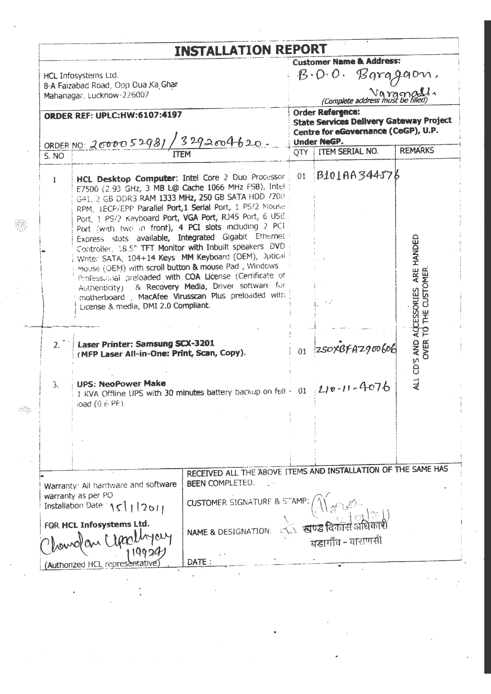|                                                             |                                                                                                                                                                                                                                                                                                                                                                                                                                                                                                                                                                                                                                                                                                                                                                                                              | <b>INSTALLATION REPORT</b>                                                                                                                  |    | <b>Customer Name &amp; Address:</b>                                                                                             |                                               |
|-------------------------------------------------------------|--------------------------------------------------------------------------------------------------------------------------------------------------------------------------------------------------------------------------------------------------------------------------------------------------------------------------------------------------------------------------------------------------------------------------------------------------------------------------------------------------------------------------------------------------------------------------------------------------------------------------------------------------------------------------------------------------------------------------------------------------------------------------------------------------------------|---------------------------------------------------------------------------------------------------------------------------------------------|----|---------------------------------------------------------------------------------------------------------------------------------|-----------------------------------------------|
|                                                             | HCL Infosystems Ltd.<br>8-A Faizabad Road, Opp Dua Ka Ghar                                                                                                                                                                                                                                                                                                                                                                                                                                                                                                                                                                                                                                                                                                                                                   |                                                                                                                                             |    | Bargqqow<br>$B \cdot O \cdot O$ .                                                                                               |                                               |
|                                                             | Mahanagar, Lucknow-226007                                                                                                                                                                                                                                                                                                                                                                                                                                                                                                                                                                                                                                                                                                                                                                                    |                                                                                                                                             |    | V a manall +                                                                                                                    |                                               |
| <b>ORDER REF: UPLC:HW:6107:4197</b><br>ORDER NO: 2000052981 |                                                                                                                                                                                                                                                                                                                                                                                                                                                                                                                                                                                                                                                                                                                                                                                                              | 13292004620.                                                                                                                                |    | Order Reference:<br><b>State Services Delivery Gateway Project</b><br>Centre for eGovernance (CeGP), U.P.<br><b>Under NeGP.</b> |                                               |
| S. NO                                                       |                                                                                                                                                                                                                                                                                                                                                                                                                                                                                                                                                                                                                                                                                                                                                                                                              |                                                                                                                                             |    | OTY   ITEM SERIAL NO.                                                                                                           | <b>REMARKS</b>                                |
| 1                                                           | <b>ITEM</b><br>HCL Desktop Computer: Intel Core 2 Duo Processor<br>E7500 (2.93 GHz, 3 MB L@ Cache 1066 MHz FSB), Intel<br>G41, 2 GB DDR3 RAM 1333 MHz, 250 GB SATA HDD 7200<br>RPM, LECP/EPP Parallel Port, 1 Serial Port, 1 PS/2 Mouse<br>Port, 1 PS/2 Keyboard Port, VGA Port, RJ45 Port, 6 USB<br>Port (with two in front), 4 PCI slots including 2 PCT<br>Express slots available, Integrated Gigabit Ethernet<br>Controller, 18.5" TFT Monitor with Inbuilt speakers DVD<br>Writer SATA, 104+14 Keys MM Keyboard (OEM), Dptical i<br>MOUSE (OEM) with scroll button & mouse Pad, Windows<br>Professional preloaded with COA License (Certificate of<br>Authenticity) & Recovery Media, Driver software for<br>motherboard, MacAfee Virusscan Plus preloaded with<br>License & media, DMI 2.0 Compliant. |                                                                                                                                             | 01 | B101AA344576                                                                                                                    | CESSORIES ARE HANDED                          |
| 2.                                                          | <b>Laser Printer: Samsung SCX-3201</b><br>(MFP Laser All-in-One: Print, Scan, Copy).                                                                                                                                                                                                                                                                                                                                                                                                                                                                                                                                                                                                                                                                                                                         |                                                                                                                                             | 01 | $250 \times 6672900606$                                                                                                         | ALL CD'S AND ACCESSORIES<br>OVER TO THE CUSTO |
| 3.                                                          | <b>UPS: NeoPower Make</b><br>1 KVA Offline UPS with 30 minutes battery backup on full $\frac{1}{2}$ 01 $\frac{1}{2}$ 0 -11 -4076<br>load (0.6 PF).                                                                                                                                                                                                                                                                                                                                                                                                                                                                                                                                                                                                                                                           |                                                                                                                                             |    |                                                                                                                                 |                                               |
|                                                             |                                                                                                                                                                                                                                                                                                                                                                                                                                                                                                                                                                                                                                                                                                                                                                                                              |                                                                                                                                             |    |                                                                                                                                 |                                               |
|                                                             | Warranty: All hardware and software<br>warranty as per PO<br>Installation Date 15/1/2011                                                                                                                                                                                                                                                                                                                                                                                                                                                                                                                                                                                                                                                                                                                     | RECEIVED ALL THE ABOVE ITEMS AND INSTALLATION OF THE SAME HAS<br><b>BEEN COMPLETED.</b><br><b>CUSTOMER SIGNATURE &amp; STAMP:</b> $\bigcap$ |    |                                                                                                                                 |                                               |
|                                                             | FOR HCL Infosystems Ltd.<br>romolan Claselhyay                                                                                                                                                                                                                                                                                                                                                                                                                                                                                                                                                                                                                                                                                                                                                               | NAME & DESIGNATION:                                                                                                                         |    | ्रें खण्ड विकास अधिकारी<br>ब्रह्मगाँव - वाराणसी                                                                                 |                                               |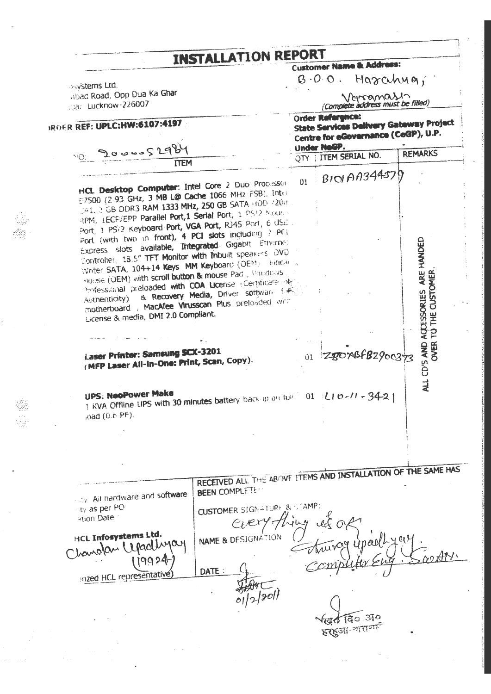|                                                                                                                  | <b>INSTALLATION REPORT</b>                                     | <b>Customer Name &amp; Address:</b> |                                                                                       |                                     |  |
|------------------------------------------------------------------------------------------------------------------|----------------------------------------------------------------|-------------------------------------|---------------------------------------------------------------------------------------|-------------------------------------|--|
|                                                                                                                  |                                                                |                                     | $B - O O$ . Marchna,                                                                  |                                     |  |
| <b>Disvistems Ltd.</b><br>abad Road, Opp Dua Ka Ghar                                                             |                                                                |                                     |                                                                                       |                                     |  |
| spar Lucknow-226007                                                                                              |                                                                |                                     | Vercomation                                                                           |                                     |  |
|                                                                                                                  |                                                                |                                     | <b>Order Rafergnon:</b>                                                               |                                     |  |
| ROER REF: UPLC:HW:6107:4197                                                                                      |                                                                |                                     | <b>State Services Delivery Gateway Project</b><br>Centre for eGovernance (CeGP), U.P. |                                     |  |
|                                                                                                                  |                                                                |                                     | Under NeGP.                                                                           |                                     |  |
| 10 2000052984                                                                                                    |                                                                |                                     | QTY   ITEM SERIAL NO.                                                                 | <b>REMARKS</b>                      |  |
| <b>ITEM</b>                                                                                                      |                                                                |                                     |                                                                                       |                                     |  |
|                                                                                                                  |                                                                | 01                                  | BD01A9344575                                                                          |                                     |  |
| HCL Desktop Computer: Intel Core 2 Duo Processor<br>E7500 (2.93 GHz, 3 MB L@ Cache 1066 MHz FSB), Inter          |                                                                |                                     |                                                                                       |                                     |  |
| 041, 2 GB DDR3 RAM 1333 MHz, 250 GB SATA HDD 7200                                                                |                                                                |                                     |                                                                                       |                                     |  |
| RPM, IECP/EPP Parallel Port,1 Serial Port, 1 PS/2 Nous.                                                          |                                                                |                                     |                                                                                       |                                     |  |
| Port, 1 PS/2 Keyboard Port, VGA Port, RJ45 Port, 6 USL.                                                          |                                                                |                                     |                                                                                       |                                     |  |
| Port (with two in front), 4 PCI slots including 2 PCi                                                            |                                                                |                                     |                                                                                       |                                     |  |
| Express slots available, Integrated Gigabit Etherne:<br>Controller, 18.5" TFT Monitor with Inbuilt speakers. DVQ |                                                                |                                     |                                                                                       |                                     |  |
| Write: SATA, 104+14 Keys. MM Keyboard (OEM). Jusicans,                                                           |                                                                |                                     |                                                                                       |                                     |  |
| Process (OEM) with scroll button & mouse Pad , Windows                                                           |                                                                |                                     |                                                                                       |                                     |  |
| Professional preloaded with COA License (Certificate of                                                          |                                                                |                                     |                                                                                       |                                     |  |
| Authenticity) & Recovery Media, Driver software files                                                            |                                                                |                                     |                                                                                       |                                     |  |
| motherboard , MacAfee Virusscan Plus preloaded with                                                              |                                                                |                                     |                                                                                       |                                     |  |
|                                                                                                                  |                                                                |                                     |                                                                                       |                                     |  |
| License & media, DMI 2.0 Compliant.                                                                              |                                                                |                                     |                                                                                       |                                     |  |
|                                                                                                                  |                                                                |                                     |                                                                                       |                                     |  |
|                                                                                                                  |                                                                |                                     |                                                                                       |                                     |  |
|                                                                                                                  |                                                                |                                     |                                                                                       |                                     |  |
| Laser Printer: Samsung SCX-3201<br>(MFP Laser All-in-One: Print, Scan, Copy).                                    |                                                                |                                     | 01 280xBfB2900373                                                                     |                                     |  |
|                                                                                                                  |                                                                |                                     |                                                                                       |                                     |  |
|                                                                                                                  |                                                                |                                     |                                                                                       | ALL CD'S AND ACCESSORIES ARE HANDED |  |
| UPS: NeoPower Make                                                                                               |                                                                |                                     |                                                                                       |                                     |  |
| 1 KVA Offline UPS with 30 minutes battery back-up on tull 01 121 o-11 - 34-2                                     |                                                                |                                     |                                                                                       |                                     |  |
| load (0.6 PF).                                                                                                   |                                                                |                                     |                                                                                       |                                     |  |
|                                                                                                                  |                                                                |                                     |                                                                                       |                                     |  |
|                                                                                                                  |                                                                |                                     |                                                                                       |                                     |  |
|                                                                                                                  |                                                                |                                     |                                                                                       |                                     |  |
|                                                                                                                  |                                                                |                                     |                                                                                       |                                     |  |
|                                                                                                                  | RECEIVED ALL. THE ABOVE ITEMS AND INSTALLATION OF THE SAME HAS |                                     |                                                                                       |                                     |  |
|                                                                                                                  | <b>BEEN COMPLETE:</b>                                          |                                     |                                                                                       |                                     |  |
| All hardware and software                                                                                        |                                                                |                                     |                                                                                       |                                     |  |
| lity as per PO<br>ation Date                                                                                     | CUSTOMER SIGNATURE & STAMP:                                    |                                     |                                                                                       |                                     |  |
|                                                                                                                  | CLERY fling                                                    |                                     |                                                                                       |                                     |  |
| HCL Infosystems Ltd.                                                                                             | NAME & DESIGNATION                                             |                                     |                                                                                       |                                     |  |
|                                                                                                                  |                                                                |                                     |                                                                                       |                                     |  |
| Chanolan Legadhyay<br>19924                                                                                      |                                                                |                                     | Francy Uparl                                                                          |                                     |  |
|                                                                                                                  | DATE:                                                          |                                     |                                                                                       |                                     |  |
| <b>Inzed HCL representative</b>                                                                                  |                                                                |                                     |                                                                                       |                                     |  |
|                                                                                                                  |                                                                |                                     |                                                                                       |                                     |  |
|                                                                                                                  |                                                                |                                     |                                                                                       |                                     |  |
|                                                                                                                  |                                                                |                                     |                                                                                       |                                     |  |

J.

 $\bar{\beta}$ 

 $\hat{\mathcal{L}}$ 

 $\tilde{\boldsymbol{\beta}}$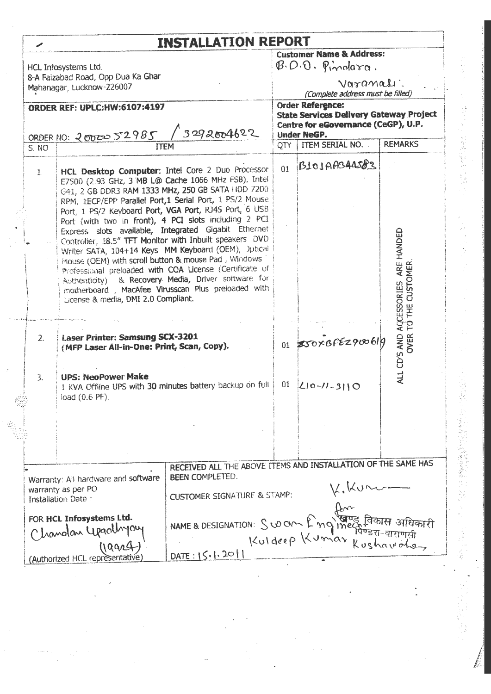|               |                                                                                                                                                                                                                                                                                                                                                                                                                                                                                                                                                                                                                                                                                                                                                                                            | <b>INSTALLATION REPORT</b>                                                                                                                                                                                                                         |    |                                                                                                                                                                                                                                             |                                               |  |
|---------------|--------------------------------------------------------------------------------------------------------------------------------------------------------------------------------------------------------------------------------------------------------------------------------------------------------------------------------------------------------------------------------------------------------------------------------------------------------------------------------------------------------------------------------------------------------------------------------------------------------------------------------------------------------------------------------------------------------------------------------------------------------------------------------------------|----------------------------------------------------------------------------------------------------------------------------------------------------------------------------------------------------------------------------------------------------|----|---------------------------------------------------------------------------------------------------------------------------------------------------------------------------------------------------------------------------------------------|-----------------------------------------------|--|
|               | HCL Infosystems Ltd.<br>8-A Faizabad Road, Opp Dua Ka Ghar<br>Mahanagar, Lucknow-226007                                                                                                                                                                                                                                                                                                                                                                                                                                                                                                                                                                                                                                                                                                    | 3292004622                                                                                                                                                                                                                                         |    | <b>Customer Name &amp; Address:</b><br>B.D.O. Pindara.<br>Varanali.<br>(Complete address must be filled)<br>Order Reference:<br><b>State Services Delivery Gateway Project</b><br>Centre for eGovernance (CeGP), U.P.<br><b>Under NeGP.</b> |                                               |  |
|               | <b>ORDER REF: UPLC:HW:6107:4197</b><br>ORDER NO: 20000 52985                                                                                                                                                                                                                                                                                                                                                                                                                                                                                                                                                                                                                                                                                                                               |                                                                                                                                                                                                                                                    |    |                                                                                                                                                                                                                                             |                                               |  |
| S. NO         |                                                                                                                                                                                                                                                                                                                                                                                                                                                                                                                                                                                                                                                                                                                                                                                            | <b>ITEM</b>                                                                                                                                                                                                                                        |    | QTY   ITEM SERIAL NO.                                                                                                                                                                                                                       | <b>REMARKS</b>                                |  |
| $\mathbbm{1}$ | HCL Desktop Computer: Intel Core 2 Duo Processor<br>E7500 (2.93 GHz, 3 MB L@ Cache 1066 MHz FSB), Intel<br>G41, 2 GB DDR3 RAM 1333 MHz, 250 GB SATA HDD 7200<br>RPM, 1ECP/EPP Parallel Port,1 Serial Port, 1 PS/2 Mouse<br>Port, 1 PS/2 Keyboard Port, VGA Port, RJ45 Port, 6 USB<br>Port (with two in front), 4 PCI slots including 2 PCI<br>Express slots available, Integrated Gigabit Ethernet<br>Controller, 18.5" TFT Monitor with Inbuilt speakers DVD<br>Writer SATA, 104+14 Keys MM Keyboard (OEM), Optical<br>Mouse (OEM) with scroll button & mouse Pad, Windows<br>Professional preloaded with COA License (Certificate of<br>Authenticity) & Recovery Media, Driver software for<br>motherboard, MacAfee Virusscan Plus preloaded with<br>License & media, DMI 2.0 Compliant. |                                                                                                                                                                                                                                                    | 01 | B101AA344583                                                                                                                                                                                                                                | ARE HANDED<br>CUSTOMER                        |  |
| 2.            | Laser Printer: Samsung SCX-3201<br>(MFP Laser All-in-One: Print, Scan, Copy).                                                                                                                                                                                                                                                                                                                                                                                                                                                                                                                                                                                                                                                                                                              |                                                                                                                                                                                                                                                    |    | 01 250xBFEZ900619                                                                                                                                                                                                                           | ALL CD'S AND ACCESSORIES<br>OVER TO THE CUSTC |  |
| 3.            | <b>UPS: NeoPower Make</b><br>load (0.6 PF).                                                                                                                                                                                                                                                                                                                                                                                                                                                                                                                                                                                                                                                                                                                                                | 1 KVA Offline UPS with 30 minutes battery backup on full                                                                                                                                                                                           |    | $01$ 210-11-3110                                                                                                                                                                                                                            |                                               |  |
|               |                                                                                                                                                                                                                                                                                                                                                                                                                                                                                                                                                                                                                                                                                                                                                                                            |                                                                                                                                                                                                                                                    |    |                                                                                                                                                                                                                                             |                                               |  |
|               | Warranty: All hardware and software<br>warranty as per PO<br>Installation Date:<br>FOR HCL Infosystems Ltd.<br>Chandan yearly and                                                                                                                                                                                                                                                                                                                                                                                                                                                                                                                                                                                                                                                          | RECEIVED ALL THE ABOVE ITEMS AND INSTALLATION OF THE SAME HAS<br><b>BEEN COMPLETED.</b><br><b>CUSTOMER SIGNATURE &amp; STAMP:</b><br>NAME & DESIGNATION: Swam Ling Inecessed areas of the Manuscript of the Manuscript of the Manuscript Rushawaha |    |                                                                                                                                                                                                                                             |                                               |  |

 $\ddot{\phantom{0}}$ 

 $\ddot{\cdot}$ 

 $\overline{\phantom{a}}$ 

j.  $\hat{\mathcal{I}}$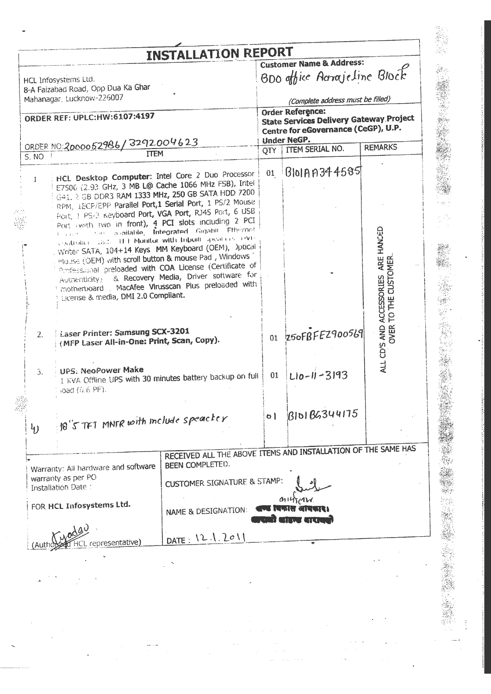|                                                                                                                                       |                                                                                                                                                                                                                                                                                                                                                                                                                                                                                                                                                                                                                                                                                                                                                                                                                                                                                     | <b>INSTALLATION REPORT</b>                                                                                                                                           |                    |                                                                                                           |                                                                             |
|---------------------------------------------------------------------------------------------------------------------------------------|-------------------------------------------------------------------------------------------------------------------------------------------------------------------------------------------------------------------------------------------------------------------------------------------------------------------------------------------------------------------------------------------------------------------------------------------------------------------------------------------------------------------------------------------------------------------------------------------------------------------------------------------------------------------------------------------------------------------------------------------------------------------------------------------------------------------------------------------------------------------------------------|----------------------------------------------------------------------------------------------------------------------------------------------------------------------|--------------------|-----------------------------------------------------------------------------------------------------------|-----------------------------------------------------------------------------|
|                                                                                                                                       | HCL Infosystems Ltd.<br>8-A Faizabad Road, Opp Dua Ka Ghar<br>Mahanagar, Lucknow-226007                                                                                                                                                                                                                                                                                                                                                                                                                                                                                                                                                                                                                                                                                                                                                                                             |                                                                                                                                                                      |                    | <b>Customer Name &amp; Address:</b><br>BDO office Agrajeline Block<br>(Complete address must be filled)   |                                                                             |
|                                                                                                                                       | ORDER REF: UPLC:HW:6107:4197                                                                                                                                                                                                                                                                                                                                                                                                                                                                                                                                                                                                                                                                                                                                                                                                                                                        |                                                                                                                                                                      |                    | Order Reference:<br><b>State Services Delivery Gateway Project</b><br>Centre for eGovernance (CeGP), U.P. |                                                                             |
|                                                                                                                                       |                                                                                                                                                                                                                                                                                                                                                                                                                                                                                                                                                                                                                                                                                                                                                                                                                                                                                     |                                                                                                                                                                      |                    | <b>Under NeGP.</b>                                                                                        |                                                                             |
| S. NO                                                                                                                                 | ORDER NO: 2000052986/3292004623<br><b>TTEM</b>                                                                                                                                                                                                                                                                                                                                                                                                                                                                                                                                                                                                                                                                                                                                                                                                                                      |                                                                                                                                                                      | QTY                | ITEM SERIAL NO.                                                                                           | <b>REMARKS</b>                                                              |
| 1<br>2.                                                                                                                               | HCL Desktop Computer: Intel Core 2 Duo Processor<br>E7500 (2.93 GHz, 3 MB L@ Cache 1066 MHz FSB), Intel<br>G41, 2 GB DDR3 RAM 1333 MHz, 250 GB SATA HDD 7200<br>RPM, LECP/EPP Parallel Port,1 Serial Port, 1 PS/2 Mouse<br>Port, 1 PS/2 Keyboard Port, VGA Port, RJ45 Port, 6 USB<br>Port (with two in front), 4 PCI slots including 2 PCI<br>$1 - \frac{1}{2} + \frac{1}{2} + \frac{1}{2}$<br>spectroller (16th) (H.F. Monitor with Infoult specified OVD)<br>Writer SATA, 104+14 Keys MM Keyboard (OEM), Dptical<br>Mouse (OEM) with scroll button & mouse Pad, Windows<br>Professional preloaded with COA License (Certificate of<br>Authenticity) & Recovery Media, Driver software for<br>I motherboard . MacAfee Virusscan Plus preloaded with<br>License & media, DMI 2.0 Compliant.<br><b>Laser Printer: Samsung SCX-3201</b><br>(MFP Laser All-in-One: Print, Scan, Copy). | site mailable, Integrated Gigabit Ethernet                                                                                                                           |                    | $01  B$ $b$ lAA344585<br>01 250FBFEZ900569                                                                | ALL CD'S AND ACCESSORIES ARE HANCED<br>TO THE CUSTOMER<br>OVER <sup>-</sup> |
| 3.                                                                                                                                    | UPS: NeoPower Make<br>1 KVA Offline UPS with 30 minutes battery backup on full<br>joad (0.6 PF).                                                                                                                                                                                                                                                                                                                                                                                                                                                                                                                                                                                                                                                                                                                                                                                    |                                                                                                                                                                      | 01<br>$\mathbf{b}$ | $L10 - 11 - 3193$<br><b>BIDI BG344175</b>                                                                 |                                                                             |
| Đ                                                                                                                                     | 18's TFT MNFR with molude speacher                                                                                                                                                                                                                                                                                                                                                                                                                                                                                                                                                                                                                                                                                                                                                                                                                                                  |                                                                                                                                                                      |                    |                                                                                                           |                                                                             |
| Warranty: All hardware and software<br>warranty as per PO<br><b>Installation Date:</b><br>FOR HCL Infosystems Ltd.<br>representative) |                                                                                                                                                                                                                                                                                                                                                                                                                                                                                                                                                                                                                                                                                                                                                                                                                                                                                     | RECEIVED ALL THE ABOVE ITEMS AND INSTALLATION OF THE SAME HAS<br>BEEN COMPLETED.<br><b>CUSTOMER SIGNATURE &amp; STAMP:</b><br>NAME & DESIGNATION:<br>DATE: 12.1.2011 |                    |                                                                                                           |                                                                             |
|                                                                                                                                       |                                                                                                                                                                                                                                                                                                                                                                                                                                                                                                                                                                                                                                                                                                                                                                                                                                                                                     |                                                                                                                                                                      |                    |                                                                                                           |                                                                             |

 $\frac{1}{2}$ i<br>S  $\frac{1}{2} \frac{1}{2} \frac{1}{2} \frac{1}{2} \frac{1}{2} \frac{1}{2} \frac{1}{2} \frac{1}{2} \frac{1}{2} \frac{1}{2} \frac{1}{2} \frac{1}{2} \frac{1}{2} \frac{1}{2} \frac{1}{2} \frac{1}{2} \frac{1}{2} \frac{1}{2} \frac{1}{2} \frac{1}{2} \frac{1}{2} \frac{1}{2} \frac{1}{2} \frac{1}{2} \frac{1}{2} \frac{1}{2} \frac{1}{2} \frac{1}{2} \frac{1}{2} \frac{1}{2} \frac{1}{2} \frac{$ 

 $\frac{1}{2}$ 

 $\ddot{\phantom{0}}$ 

 $\ddot{\phantom{0}}$ 

.

 $\begin{array}{c} \frac{1}{2} \\ \frac{1}{2} \end{array}$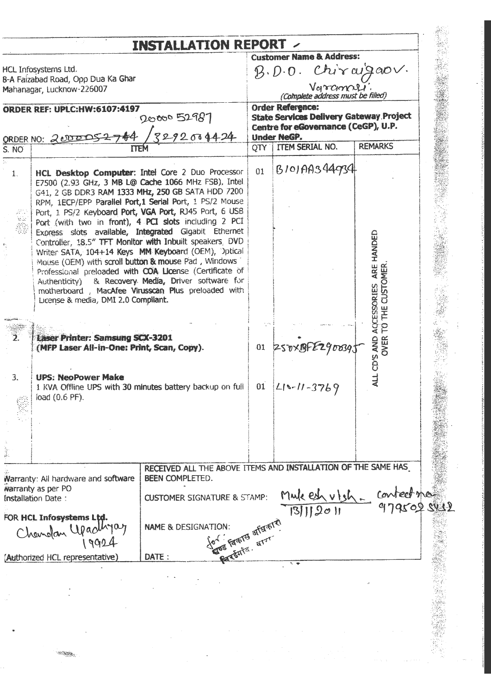|       |                                                                                                                                                                                                                                                                                                                                                                                   | INSTALLATION REPORT >                                                                                                                                                                                                                                                                                                                                                                                   |     | <b>Customer Name &amp; Address:</b>                                                                                             |                                                                  |
|-------|-----------------------------------------------------------------------------------------------------------------------------------------------------------------------------------------------------------------------------------------------------------------------------------------------------------------------------------------------------------------------------------|---------------------------------------------------------------------------------------------------------------------------------------------------------------------------------------------------------------------------------------------------------------------------------------------------------------------------------------------------------------------------------------------------------|-----|---------------------------------------------------------------------------------------------------------------------------------|------------------------------------------------------------------|
|       | HCL Infosystems Ltd.<br>8-A Faizabad Road, Opp Dua Ka Ghar                                                                                                                                                                                                                                                                                                                        |                                                                                                                                                                                                                                                                                                                                                                                                         |     |                                                                                                                                 |                                                                  |
|       | Mahanagar, Lucknow-226007                                                                                                                                                                                                                                                                                                                                                         |                                                                                                                                                                                                                                                                                                                                                                                                         |     | $B. D. O.$ Chircuigao $V$ .<br>Vorconneli:<br>Complete address must be filled)                                                  |                                                                  |
|       | <b>ORDER REF: UPLC:HW:6107:4197</b><br>ORDER NO: 200005                                                                                                                                                                                                                                                                                                                           | 20000 52987<br>3292004424                                                                                                                                                                                                                                                                                                                                                                               |     | Order Reference:<br><b>State Services Delivery Gateway Project</b><br>Centre for eGovernance (CeGP), U.P.<br><b>Under NeGP.</b> |                                                                  |
| S. NO | <b>LTEM</b>                                                                                                                                                                                                                                                                                                                                                                       |                                                                                                                                                                                                                                                                                                                                                                                                         | QTY | ITEM SERIAL NO.                                                                                                                 | <b>REMARKS</b>                                                   |
| 1.    | HCL Desktop Computer: Intel Core 2 Duo Processor<br>G41, 2 GB DDR3 RAM 1333 MHz, 250 GB SATA HDD 7200<br>RPM, 1ECP/EPP Parallel Port,1 Serial Port, 1 PS/2 Mouse<br>Port, 1 PS/2 Keyboard Port, VGA Port, RJ45 Port, 6 USB<br>Port (with two in front), 4 PCI slots including 2 PCI<br>Mouse (OEM) with scroll button & mouse Pad, Windows<br>License & media, DMI 2.0 Compliant. | E7500 (2.93 GHz, 3 MB L@ Cache 1066 MHz FSB), Intel.<br>Express slots available, Integrated Gigabit Ethernet<br>Controller, 18,5" TFT Monitor with Inbuilt speakers, DVD<br>Writer SATA, 104+14 Keys MM Keyboard (OEM), Optical<br>Professional preloaded with COA License (Certificate of<br>Authenticity) & Recovery Media, Driver software for<br>motherboard, MacAfee Virusscan Plus preloaded with | 01  | B101AA344934                                                                                                                    | HANDED<br><b>ARE</b><br><b>MER</b><br>ACCESSORIES<br>นิริ<br>THE |
|       | <b>Easer Printer: Samsung SCX-3201</b><br>(MFP Laser All-in-One: Print, Scan, Copy).                                                                                                                                                                                                                                                                                              |                                                                                                                                                                                                                                                                                                                                                                                                         |     | 01 250XBFE2900395                                                                                                               | P<br>OVER <sup>-</sup><br>CD'S AND                               |
| 3.    | <b>UPS: NeoPower Make</b><br>load (0.6 PF).                                                                                                                                                                                                                                                                                                                                       | 1 KVA Offline UPS with 30 minutes battery backup on full                                                                                                                                                                                                                                                                                                                                                | 01  | $L1 - 11 - 3769$                                                                                                                |                                                                  |
|       |                                                                                                                                                                                                                                                                                                                                                                                   | RECEIVED ALL THE ABOVE ITEMS AND INSTALLATION OF THE SAME HAS                                                                                                                                                                                                                                                                                                                                           |     |                                                                                                                                 |                                                                  |
|       | Warranty: All hardware and software<br><b>Narranty as per PO</b><br><b>Installation Date:</b>                                                                                                                                                                                                                                                                                     | <b>BEEN COMPLETED.</b><br><b>CUSTOMER SIGNATURE &amp; STAMP:</b>                                                                                                                                                                                                                                                                                                                                        |     | Mule est v1sh - contect no.                                                                                                     |                                                                  |
|       | FOR HCL Infosystems Ltd.<br>Chanolan Upadhyay                                                                                                                                                                                                                                                                                                                                     | <b>You Family arisms!</b><br><b>NAME &amp; DESIGNATION:</b>                                                                                                                                                                                                                                                                                                                                             |     |                                                                                                                                 |                                                                  |
|       | (Authorized HCL representative)                                                                                                                                                                                                                                                                                                                                                   | DATE:                                                                                                                                                                                                                                                                                                                                                                                                   |     |                                                                                                                                 |                                                                  |

 $\bar{z}$ 

 $\frac{1}{3}$ 

Ĵ,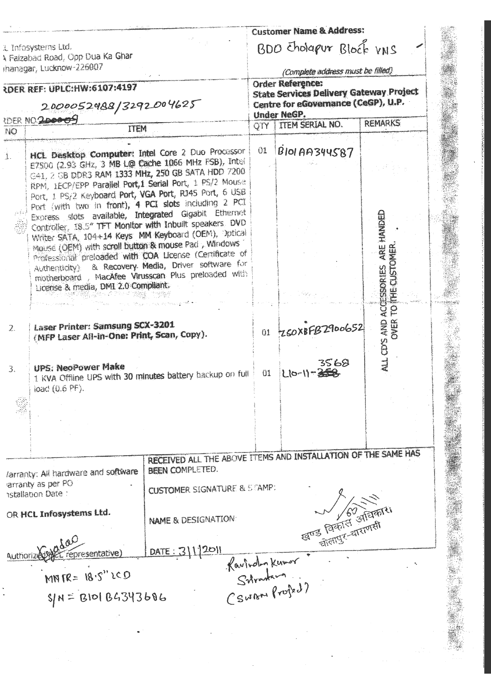|                                                                                                                                                                                                                                                                                           |                                                                                                                  |    | <b>Customer Name &amp; Address:</b>           |                                                   |  |  |  |  |
|-------------------------------------------------------------------------------------------------------------------------------------------------------------------------------------------------------------------------------------------------------------------------------------------|------------------------------------------------------------------------------------------------------------------|----|-----------------------------------------------|---------------------------------------------------|--|--|--|--|
| 1. Infosystems Ltd.<br>A Faizabad Road, Opp Dua Ka Ghar                                                                                                                                                                                                                                   |                                                                                                                  |    | BDO Cholapur Block VNS                        |                                                   |  |  |  |  |
| managar, Lucknow-226007                                                                                                                                                                                                                                                                   |                                                                                                                  |    | (Complete address must be filled)             |                                                   |  |  |  |  |
| RDER REF: UPLC:HW:6107:4197                                                                                                                                                                                                                                                               | <b>Order Reference:</b><br><b>State Services Delivery Gateway Project</b><br>Centre for eGovernance (CeGP), U.P. |    |                                               |                                                   |  |  |  |  |
| 2000052488/3292004625                                                                                                                                                                                                                                                                     |                                                                                                                  |    | <b>Under NeGP.</b>                            |                                                   |  |  |  |  |
| UDER NO. 2000 09<br><b>TTEM</b>                                                                                                                                                                                                                                                           |                                                                                                                  |    | QTY TTEM SERIAL NO.                           | <b>REMARKS</b>                                    |  |  |  |  |
| NO <sub>1</sub>                                                                                                                                                                                                                                                                           |                                                                                                                  |    |                                               |                                                   |  |  |  |  |
| HCL Desktop Computer: Intel Core 2 Duo Processor<br>1.<br>E7500 (2.93 GHz, 3 MB L@ Cache 1066 MHz FSB), Intel<br>C41, 2 GB DDR3 RAM 1333 MHz, 250 GB SATA HDD 7200<br>RPM, 1ECP/EPP Parallel Port, 1 Serial Port, 1 PS/2 Mouse<br>Port, 1 PS/2 Keyboard Port, VGA Port, R145 Port, 6 USB  |                                                                                                                  | 01 | $B$ IOI AA344587                              |                                                   |  |  |  |  |
| Port (with two in front), 4 PCI slots including 2 PCI<br>Express slots available, Integrated Gigabit Ethernet<br>Controller, 18.5" TFT Monitor with Inbuilt speakers. DVD<br>Writer SATA, 104+14 Keys MM Keyboard (OEM), Optical<br>Mourse (OEM) with scroll button & mouse Pad , Windows |                                                                                                                  |    |                                               |                                                   |  |  |  |  |
| Professional preloaded with COA License (Certificate of<br>Authenticity) & Recovery Media, Driver software for<br>motherboard, MacAfee Virusscan Plus preloaded with<br>License & media, DMI 2.0 Compilant.                                                                               |                                                                                                                  |    |                                               | <b>CESSORIES ARE HANDED</b><br><b>THE CUSTOME</b> |  |  |  |  |
|                                                                                                                                                                                                                                                                                           |                                                                                                                  |    |                                               | <b>DO</b>                                         |  |  |  |  |
| Laser Printer: Samsung SCX-3201<br>$\mathbb{Z}$<br>(MFP Laser All-in-One: Print, Scan, Copy).<br>UPS: NeoPower Make<br>3.<br>1 KVA Offline UPS with 30 minutes battery backup on full                                                                                                     |                                                                                                                  | 01 | 01 760XBFB2900652<br>3568<br>110-11-358       | CDYS AND<br><b>OVER</b><br>i<br>ali               |  |  |  |  |
| load (0.6 PF).                                                                                                                                                                                                                                                                            |                                                                                                                  |    |                                               |                                                   |  |  |  |  |
|                                                                                                                                                                                                                                                                                           |                                                                                                                  |    |                                               |                                                   |  |  |  |  |
| larranty: All hardware and software                                                                                                                                                                                                                                                       | RECEIVED ALL THE ABOVE ITEMS AND INSTALLATION OF THE SAME HAS<br><b>BEEN COMPLETED.</b>                          |    |                                               |                                                   |  |  |  |  |
| arranty as per PO<br>astallation Date:                                                                                                                                                                                                                                                    | <b>CUSTOMER SIGNATURE &amp; STAMP:</b>                                                                           |    |                                               |                                                   |  |  |  |  |
| OR HCL Infosystems Ltd.                                                                                                                                                                                                                                                                   | NAME & DESIGNATION:                                                                                              |    | खल्ड विकास आधिकारी                            |                                                   |  |  |  |  |
|                                                                                                                                                                                                                                                                                           |                                                                                                                  |    | चीलापुर-वाराणसी                               |                                                   |  |  |  |  |
| representative)<br>Authoriz                                                                                                                                                                                                                                                               | DATE: 311/2011                                                                                                   |    |                                               |                                                   |  |  |  |  |
| $MNR = 18.5''2CD$                                                                                                                                                                                                                                                                         |                                                                                                                  |    | Kavindry Kumor<br>Silvantana<br>CSUBN Profed? |                                                   |  |  |  |  |
| $S/N = BOIB4343686$                                                                                                                                                                                                                                                                       |                                                                                                                  |    |                                               |                                                   |  |  |  |  |
|                                                                                                                                                                                                                                                                                           |                                                                                                                  |    |                                               |                                                   |  |  |  |  |
|                                                                                                                                                                                                                                                                                           |                                                                                                                  |    |                                               |                                                   |  |  |  |  |
|                                                                                                                                                                                                                                                                                           |                                                                                                                  |    |                                               |                                                   |  |  |  |  |

 $\ddot{\cdot}$ 

 $\ddot{\phantom{0}}$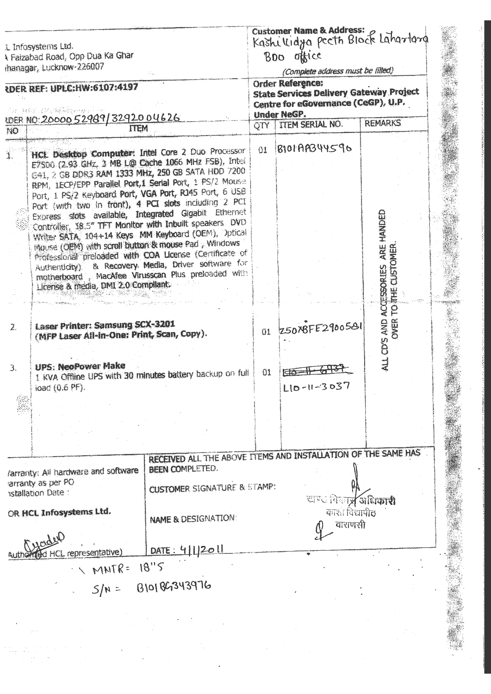| L Infosystems Ltd.<br>I Faizabad Road, Opp Dua Ka Ghar<br>managar, Lucknow-226007 |                                                                                                                                                                                                                                                                                                                                                                                                                                                                                                                                                                                |                                                                  | Customer Name & Address: 6 Lahartara<br>BDO office<br>(Complete address must be filled)                   |                                           |                             |  |  |
|-----------------------------------------------------------------------------------|--------------------------------------------------------------------------------------------------------------------------------------------------------------------------------------------------------------------------------------------------------------------------------------------------------------------------------------------------------------------------------------------------------------------------------------------------------------------------------------------------------------------------------------------------------------------------------|------------------------------------------------------------------|-----------------------------------------------------------------------------------------------------------|-------------------------------------------|-----------------------------|--|--|
|                                                                                   | <b>EDER REF: UPLC:HW:6107:4197</b><br>The West Property and the                                                                                                                                                                                                                                                                                                                                                                                                                                                                                                                |                                                                  | Order Reference:<br><b>State Services Delivery Gateway Project</b><br>Centre for eGovernance (CeGP), U.P. |                                           |                             |  |  |
|                                                                                   | WER NO: 20000 52989/3292004626                                                                                                                                                                                                                                                                                                                                                                                                                                                                                                                                                 |                                                                  |                                                                                                           | <b>Under NeGP.</b><br>QTY TTEM SERIAL NO. | <b>REMARKS</b>              |  |  |
| NO.                                                                               | ITEM                                                                                                                                                                                                                                                                                                                                                                                                                                                                                                                                                                           |                                                                  |                                                                                                           |                                           |                             |  |  |
| 1.                                                                                | HCL Desktop Computer: Intel Core 2 Duo Processor<br>E7500 (2.93 GHz, 3 MB L@ Cache 1066 MHz FSB), Intel<br>C41, 2 GB DOR3 RAM 1333 MHz, 250 GB SATA HDD 7200<br>RPM, LECP/EPP Parallel Port, 1 Serial Port, 1 PS/2 Mouse<br>Port, 1 PS/2 Keyboard Port, VGA Port, R145 Port, 6 USB<br>Port (with two in front), 4 PCI slots including 2 PCI<br>Express stots available, Integrated Gigabit Ethernet<br>Controller, 18.5" TFT Monitor with Inbuilt speakers. DVD<br>Writer SATA, 104+14 Keys MM Keyboard (OEM), Optical<br>Mouse (OEM) with scroll button & mouse Pad , Windows |                                                                  |                                                                                                           | 01 B101AA344596                           | ARE HANDED                  |  |  |
|                                                                                   | Professional preloaded with COA License (Certificate of<br>Authenticity). & Recovery Media, Driver software for<br>motherboard , MacAfee Virusscan Plus preloaded with<br>License & media, DMI 2.0 Compilant.                                                                                                                                                                                                                                                                                                                                                                  |                                                                  |                                                                                                           |                                           | ACCESSORIES<br>TO THE CUSTO |  |  |
| 2.                                                                                | <b>Laser Printer: Samsung SCX-3201</b><br>(MFP Laser All-in-One: Print, Scan, Copy).                                                                                                                                                                                                                                                                                                                                                                                                                                                                                           |                                                                  |                                                                                                           | 01 250XBFE2900581                         | ALL CD'S AND<br>OVER        |  |  |
| 3.                                                                                | UPS: NeoPower Make<br>1 KVA Offline UPS with 30 minutes battery backup on full<br>load (0.6 PF).                                                                                                                                                                                                                                                                                                                                                                                                                                                                               |                                                                  | 01                                                                                                        | <b>CID</b><br>$L10 - 11 - 3037$           |                             |  |  |
|                                                                                   |                                                                                                                                                                                                                                                                                                                                                                                                                                                                                                                                                                                |                                                                  |                                                                                                           |                                           |                             |  |  |
|                                                                                   |                                                                                                                                                                                                                                                                                                                                                                                                                                                                                                                                                                                | RECEIVED ALL THE ABOVE TTEMS AND INSTALLATION OF THE SAME HAS    |                                                                                                           |                                           |                             |  |  |
|                                                                                   | farranty: All hardware and software<br>arranty as per PO<br>astallation Date:                                                                                                                                                                                                                                                                                                                                                                                                                                                                                                  | <b>BEEN COMPLETED.</b><br><b>CUSTOMER SIGNATURE &amp; STAMP:</b> |                                                                                                           | खायः विका <b>र अधिकारी</b>                |                             |  |  |
|                                                                                   | OR HCL Infosystems Ltd.                                                                                                                                                                                                                                                                                                                                                                                                                                                                                                                                                        | <b>NAME &amp; DESIGNATION:</b>                                   |                                                                                                           | काशी विद्यापीठ<br>वाराणसी                 |                             |  |  |
|                                                                                   | HCL representative)                                                                                                                                                                                                                                                                                                                                                                                                                                                                                                                                                            | <u> DATE: 4 1 2011</u>                                           |                                                                                                           |                                           |                             |  |  |
|                                                                                   | $\times$ MNTR= $18"5$                                                                                                                                                                                                                                                                                                                                                                                                                                                                                                                                                          |                                                                  |                                                                                                           |                                           |                             |  |  |
|                                                                                   | $S/N =$                                                                                                                                                                                                                                                                                                                                                                                                                                                                                                                                                                        | 810186343976                                                     |                                                                                                           |                                           |                             |  |  |
|                                                                                   |                                                                                                                                                                                                                                                                                                                                                                                                                                                                                                                                                                                |                                                                  |                                                                                                           |                                           |                             |  |  |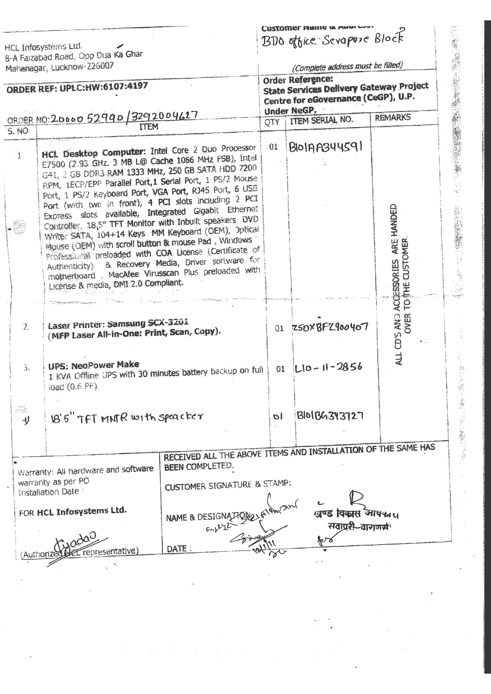1.1.4 (1) 法定番号機構、審査局は調査所需要の開発の可能と

|                      |                                                                                                                 |                                                               |                                   | <b>CUSTOMICF PROBRE SE MANN</b>                |                                    |  |  |
|----------------------|-----------------------------------------------------------------------------------------------------------------|---------------------------------------------------------------|-----------------------------------|------------------------------------------------|------------------------------------|--|--|
|                      | HCL Infosystems Ltd.                                                                                            |                                                               |                                   | BDO office Sevapure Block                      |                                    |  |  |
|                      | 8-A Faizabad Road, Opp Dua Ka Ghar                                                                              |                                                               |                                   |                                                |                                    |  |  |
|                      | Mahanagar, Lucknow-226007                                                                                       |                                                               | (Complete address must be filled) |                                                |                                    |  |  |
|                      |                                                                                                                 |                                                               |                                   | Order Reference:                               |                                    |  |  |
|                      | <b>ORDER REF: UPLC: HW: 6107:4197</b>                                                                           |                                                               |                                   | <b>State Services Delivery Gateway Project</b> |                                    |  |  |
|                      |                                                                                                                 |                                                               |                                   | Centre for eGovernance (CeGP), U.P.            |                                    |  |  |
|                      |                                                                                                                 |                                                               |                                   | Under NeGP.                                    | <b>REMARKS</b>                     |  |  |
|                      | ORDER NO: 20000 52990 / 3292004627                                                                              |                                                               | OTY.                              | TTEM SERIAL NO.                                |                                    |  |  |
| S. NO:               |                                                                                                                 |                                                               |                                   |                                                |                                    |  |  |
|                      | HCL Desktop Computer: Intel Core 2 Duo Processor                                                                |                                                               | 01                                | $B$ olan $344591$                              |                                    |  |  |
| $\tilde{\mathbb{I}}$ | E7500 (2.93 GHz, 3 MB L@ Cache 1066 MHz FSB), Intel                                                             |                                                               |                                   |                                                |                                    |  |  |
|                      | G41, 2 GB DDR3 RAM 1333 MHz, 250 GB SATA HDD 7200                                                               |                                                               |                                   |                                                |                                    |  |  |
|                      | RPM, 1ECP/EPP Parallel Port, 1 Serial Port, 1 PS/2 Mouse                                                        |                                                               |                                   |                                                |                                    |  |  |
|                      | Port, 1 PS/2 Keyboard Port, VGA Port, RJ45 Port, 6 USB                                                          |                                                               |                                   |                                                |                                    |  |  |
|                      | Part (with two in front), 4 PCI slots including 2 PCI                                                           |                                                               |                                   |                                                |                                    |  |  |
|                      | Express slots available, Integrated Gigabit Ethernet                                                            |                                                               |                                   |                                                | ARE HANDED                         |  |  |
|                      | Controller, 18.5" TFT Monitor with Inbuilt speakers, DVD                                                        |                                                               |                                   |                                                |                                    |  |  |
|                      | Write: SATA, 104+14 Keys MM Keyboard (OEM), Optical                                                             |                                                               |                                   |                                                |                                    |  |  |
|                      | Motise (OEM) with scroll button & mouse Pad, Windows<br>Professional prefoaded with COA License (Certificate of |                                                               |                                   |                                                |                                    |  |  |
|                      | Authenticity) B. Recovery Media, Driver software for                                                            |                                                               |                                   |                                                |                                    |  |  |
|                      | motherboard, MacAfee Virusscan Plus preloaded with                                                              |                                                               |                                   |                                                |                                    |  |  |
|                      | License & media, DMI 2.0 Compliant.                                                                             |                                                               |                                   |                                                |                                    |  |  |
|                      |                                                                                                                 |                                                               |                                   |                                                |                                    |  |  |
|                      |                                                                                                                 |                                                               |                                   |                                                | ACCESSORIES ARE<br>TO THE CUSTOMER |  |  |
|                      |                                                                                                                 |                                                               |                                   |                                                |                                    |  |  |
| $\sum_{i=1}^{n}$     | Laser Printer: Samsung SCX-3201                                                                                 |                                                               |                                   | 01 250XBFZ900407                               | CD'S AND<br><b>OVER</b>            |  |  |
|                      | (MFP Laser All-in-One: Print, Scan, Copy).                                                                      |                                                               |                                   |                                                |                                    |  |  |
|                      |                                                                                                                 |                                                               |                                   |                                                |                                    |  |  |
| З.                   | <b>UPS: NeoPower Make</b>                                                                                       |                                                               |                                   | $01$ $ L 0 - 11 - 2856$                        | $\frac{1}{4}$                      |  |  |
|                      | I KVA Offline UPS with 30 minutes battery backup on full                                                        |                                                               |                                   |                                                |                                    |  |  |
|                      | load (0.6 PF).                                                                                                  |                                                               |                                   |                                                |                                    |  |  |
|                      |                                                                                                                 |                                                               |                                   |                                                |                                    |  |  |
| .com                 |                                                                                                                 |                                                               |                                   |                                                |                                    |  |  |
|                      | 18'5" TFT MNTR with speacker                                                                                    |                                                               | bl                                | <b>BIO1BG343727</b>                            |                                    |  |  |
|                      |                                                                                                                 |                                                               |                                   |                                                |                                    |  |  |
|                      |                                                                                                                 |                                                               |                                   |                                                |                                    |  |  |
|                      |                                                                                                                 | RECEIVED ALL THE ABOVE ITEMS AND INSTALLATION OF THE SAME HAS |                                   |                                                |                                    |  |  |
|                      | Warranty: All hardware and software                                                                             | BEEN COMPLETED.                                               |                                   |                                                |                                    |  |  |
|                      | warranty as per PO                                                                                              |                                                               |                                   |                                                |                                    |  |  |
|                      | Installation Date:                                                                                              | <b>CUSTOMER SIGNATURE &amp; STAMP:</b>                        |                                   |                                                |                                    |  |  |
|                      |                                                                                                                 |                                                               |                                   |                                                |                                    |  |  |
|                      | FOR HCL Infosystems Ltd.                                                                                        |                                                               |                                   | खण्ड विकास जायकरा                              |                                    |  |  |
|                      |                                                                                                                 | NAME & DESIGNATIONS & Lambi                                   |                                   | संवाप्ररी–वागणर्भः                             |                                    |  |  |
|                      |                                                                                                                 |                                                               |                                   |                                                |                                    |  |  |
|                      | epresentative)                                                                                                  | DATE:                                                         |                                   | ¶ಲ್                                            |                                    |  |  |
|                      | Authorize                                                                                                       |                                                               |                                   |                                                |                                    |  |  |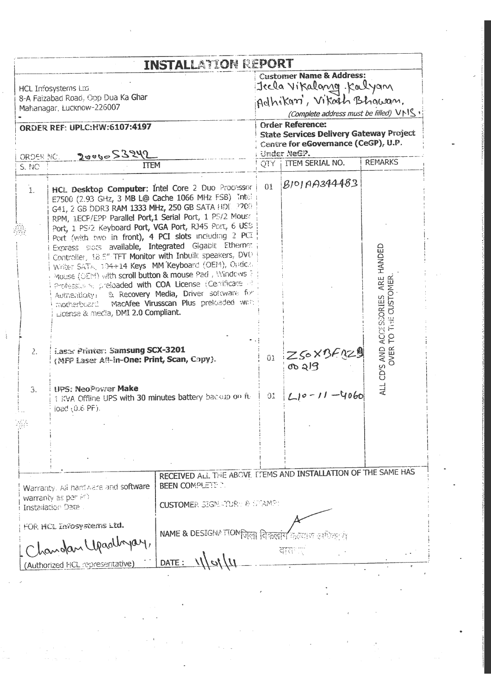|                      | <b>INSTALLATION REPORT</b>                                                                                                                                                                                                                                                                                                                                                                                                                                                                                                                                                                                                                                                                                                                                                                      |             | <b>Customer Name &amp; Address:</b>                |                                               |  |  |
|----------------------|-------------------------------------------------------------------------------------------------------------------------------------------------------------------------------------------------------------------------------------------------------------------------------------------------------------------------------------------------------------------------------------------------------------------------------------------------------------------------------------------------------------------------------------------------------------------------------------------------------------------------------------------------------------------------------------------------------------------------------------------------------------------------------------------------|-------------|----------------------------------------------------|-----------------------------------------------|--|--|
| HCL Infosystems Ltd. |                                                                                                                                                                                                                                                                                                                                                                                                                                                                                                                                                                                                                                                                                                                                                                                                 |             | Jecla Vikalang Kalyan                              |                                               |  |  |
|                      | 8-A Faizabad Road, Opp Dua Ka Ghar                                                                                                                                                                                                                                                                                                                                                                                                                                                                                                                                                                                                                                                                                                                                                              |             |                                                    |                                               |  |  |
|                      | Mahanagar, Lucknow-226007                                                                                                                                                                                                                                                                                                                                                                                                                                                                                                                                                                                                                                                                                                                                                                       |             | Adhikan, Vikash Bhawan,                            |                                               |  |  |
|                      |                                                                                                                                                                                                                                                                                                                                                                                                                                                                                                                                                                                                                                                                                                                                                                                                 |             | (Complete address must be filled) VNS,             |                                               |  |  |
|                      | <b>ORDER REF: UPLC:HW:6107:4197</b>                                                                                                                                                                                                                                                                                                                                                                                                                                                                                                                                                                                                                                                                                                                                                             |             | <b>Order Reference:</b>                            |                                               |  |  |
|                      |                                                                                                                                                                                                                                                                                                                                                                                                                                                                                                                                                                                                                                                                                                                                                                                                 |             | <b>State Services Delivery Gateway Project</b>     |                                               |  |  |
|                      |                                                                                                                                                                                                                                                                                                                                                                                                                                                                                                                                                                                                                                                                                                                                                                                                 |             | Centre for eGovernance (CeGP), U.P.<br>Under NeG?. |                                               |  |  |
|                      | ORDER NO. 2006053242<br><b>ITEM</b>                                                                                                                                                                                                                                                                                                                                                                                                                                                                                                                                                                                                                                                                                                                                                             |             | QTY   ITEM SERIAL NO.                              | <b>REMARKS</b>                                |  |  |
| S. NO                |                                                                                                                                                                                                                                                                                                                                                                                                                                                                                                                                                                                                                                                                                                                                                                                                 |             |                                                    |                                               |  |  |
| $\mathbf{1}$ .       | HCL Desktop Computer: Intel Core 2 Duo Processor<br>E7500 (2.93 GHz, 3 MB L@ Cache 1066 MHz FSB) Intel<br>G41, 2 GB DDR3 RAM 1333 MHz, 250 GB SATA HDL 7200<br>RPM, LECP/EPP Parallel Port,1 Serial Port, 1 PS/2 Mouse<br>Port, 1 PS/2 Keyboard Port, VGA Port, RJ45 Port, 6 USB<br>Port (with two in front), 4 PCI slots including 2 PCI<br>Express sides available, Integrated Gigabit Etherner.<br>Controller, 18.5" TFT Monitor with Inbuilt speakers, DVD<br>Writer SATA, 104+14 Keys MM Keyboard (OEM), Optical<br>Mouse (OEM) with scroll button & mouse Pad, Windows ?<br>Professional preloaded with COA License (Certificate of<br>Authenticity) & Recovery Media, Driver software for<br>MacAfee Virusscan Plus preloaded want<br>motherboard<br>License & media, DMI 2.0 Compliant. | 01          | BIOIAA344483                                       | ARE HANDED<br>OMER                            |  |  |
| 2.                   | <b>Laser Printer: Samsung SCX-3201</b><br>(MFP Laser All-in-One: Print, Scan, Copy).                                                                                                                                                                                                                                                                                                                                                                                                                                                                                                                                                                                                                                                                                                            |             | $01$ $Z50X5F9Z9$<br>8029                           | ALL CD'S AND ACCESCORIES<br>OVER TO THE CUSTO |  |  |
| 3.                   | UPS: NeoPower Make<br>1 KVA Offline UPS with 30 minutes battery backup on ft.<br>ioad (0.6 PF).                                                                                                                                                                                                                                                                                                                                                                                                                                                                                                                                                                                                                                                                                                 | 01          | $L$ $ 0-11-4060$                                   |                                               |  |  |
|                      |                                                                                                                                                                                                                                                                                                                                                                                                                                                                                                                                                                                                                                                                                                                                                                                                 |             |                                                    |                                               |  |  |
|                      |                                                                                                                                                                                                                                                                                                                                                                                                                                                                                                                                                                                                                                                                                                                                                                                                 |             |                                                    |                                               |  |  |
|                      |                                                                                                                                                                                                                                                                                                                                                                                                                                                                                                                                                                                                                                                                                                                                                                                                 |             |                                                    |                                               |  |  |
|                      |                                                                                                                                                                                                                                                                                                                                                                                                                                                                                                                                                                                                                                                                                                                                                                                                 |             |                                                    |                                               |  |  |
|                      | RECEIVED ALL THE ABOVE TTEMS AND INSTALLATION OF THE SAME HAS<br><b>BEEN COMPLETE ?.</b><br>Warranty. All hardware and software<br>warranty as per HD                                                                                                                                                                                                                                                                                                                                                                                                                                                                                                                                                                                                                                           |             |                                                    |                                               |  |  |
|                      | <b>CUSTOMER SIGNATURY &amp; STAMP:</b><br><b>Installation Date</b>                                                                                                                                                                                                                                                                                                                                                                                                                                                                                                                                                                                                                                                                                                                              |             |                                                    |                                               |  |  |
|                      | FOR HOL Infosystems Ltd.                                                                                                                                                                                                                                                                                                                                                                                                                                                                                                                                                                                                                                                                                                                                                                        |             |                                                    |                                               |  |  |
|                      | NAME & DESIGNATION<br>Chandan Upadlyay,                                                                                                                                                                                                                                                                                                                                                                                                                                                                                                                                                                                                                                                                                                                                                         | जिला विकलार | वाराण                                              |                                               |  |  |
|                      | DATE:<br>(Authorized HCL representative)                                                                                                                                                                                                                                                                                                                                                                                                                                                                                                                                                                                                                                                                                                                                                        |             |                                                    |                                               |  |  |

 $\hat{\mathcal{A}}$ 

 $\mathcal{L}_{\text{max}}$  and  $\mathcal{L}_{\text{max}}$  and  $\mathcal{L}_{\text{max}}$ 

 $\label{eq:2} \frac{1}{2}\sum_{i=1}^n\frac{1}{2}\sum_{j=1}^n\frac{1}{2}\sum_{j=1}^n\frac{1}{2}\sum_{j=1}^n\frac{1}{2}\sum_{j=1}^n\frac{1}{2}\sum_{j=1}^n\frac{1}{2}\sum_{j=1}^n\frac{1}{2}\sum_{j=1}^n\frac{1}{2}\sum_{j=1}^n\frac{1}{2}\sum_{j=1}^n\frac{1}{2}\sum_{j=1}^n\frac{1}{2}\sum_{j=1}^n\frac{1}{2}\sum_{j=1}^n\frac{1}{2}\sum_{j=1}^n\frac{$ 

 $\bar{t}$ 

 $\mathcal{F}$ 

 $\sim 10^{-1}$ 

 $\mathcal{L}_{\text{max}}$  and  $\mathcal{L}_{\text{max}}$ 

 $\mathcal{L}^{\pm}$ 

 $\label{eq:2.1} \frac{1}{\sqrt{2}}\frac{A_{\rm{max}}}{\sqrt{2}}\left(\frac{1}{2}\right) = \frac{1}{2} \frac{1}{2} \left(\frac{1}{2}\right)$ 

 $\mathcal{A}^{(1)}$ 

 $\sim 10^{11}$ 

 $\label{eq:2.1} \mathcal{L}_{\mathcal{A}}(\mathcal{A}) = \mathcal{L}_{\mathcal{A}}(\mathcal{A}) = \mathcal{L}_{\mathcal{A}}(\mathcal{A})$ 

 $\epsilon$ 

 $\frac{1}{4}$ 

ia<br>Mari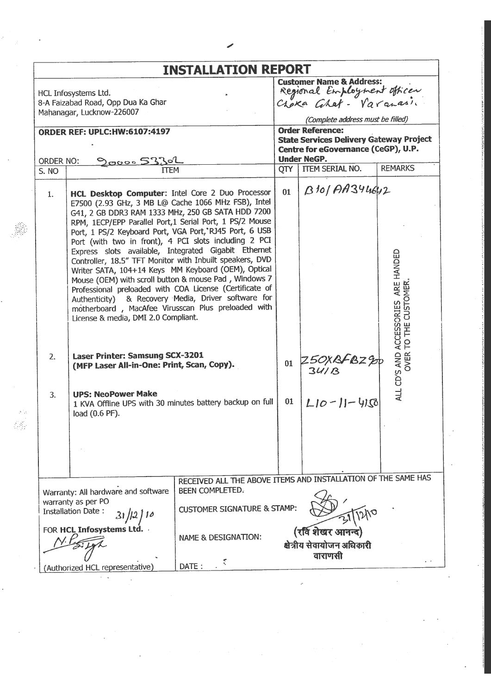|           |                                                                                                                                                                                                                                                                                                                                                                                                                                                                                                                                                                                                                                                                                                                                                                                               | <b>INSTALLATION REPORT</b>                                                                                                                                            |                                                                                                                  |                                                        |                                                                                |
|-----------|-----------------------------------------------------------------------------------------------------------------------------------------------------------------------------------------------------------------------------------------------------------------------------------------------------------------------------------------------------------------------------------------------------------------------------------------------------------------------------------------------------------------------------------------------------------------------------------------------------------------------------------------------------------------------------------------------------------------------------------------------------------------------------------------------|-----------------------------------------------------------------------------------------------------------------------------------------------------------------------|------------------------------------------------------------------------------------------------------------------|--------------------------------------------------------|--------------------------------------------------------------------------------|
|           | HCL Infosystems Ltd.<br>8-A Faizabad Road, Opp Dua Ka Ghar<br>Mahanagar, Lucknow-226007                                                                                                                                                                                                                                                                                                                                                                                                                                                                                                                                                                                                                                                                                                       |                                                                                                                                                                       | <b>Customer Name &amp; Address:</b><br>Regional Employment officer<br>(Complete address must be filled)          |                                                        |                                                                                |
|           | <b>ORDER REF: UPLC:HW:6107:4197</b>                                                                                                                                                                                                                                                                                                                                                                                                                                                                                                                                                                                                                                                                                                                                                           |                                                                                                                                                                       | <b>Order Reference:</b><br><b>State Services Delivery Gateway Project</b><br>Centre for eGovernance (CeGP), U.P. |                                                        |                                                                                |
| ORDER NO: | <u> Jours 5330L</u><br><b>ITEM</b>                                                                                                                                                                                                                                                                                                                                                                                                                                                                                                                                                                                                                                                                                                                                                            |                                                                                                                                                                       |                                                                                                                  | <b>Under NeGP.</b><br>QTY   ITEM SERIAL NO.            | <b>REMARKS</b>                                                                 |
| S. NO     |                                                                                                                                                                                                                                                                                                                                                                                                                                                                                                                                                                                                                                                                                                                                                                                               |                                                                                                                                                                       |                                                                                                                  |                                                        |                                                                                |
| 1.        | HCL Desktop Computer: Intel Core 2 Duo Processor<br>E7500 (2.93 GHz, 3 MB L@ Cache 1066 MHz FSB), Intel<br>G41, 2 GB DDR3 RAM 1333 MHz, 250 GB SATA HDD 7200<br>RPM, 1ECP/EPP Parallel Port,1 Serial Port, 1 PS/2 Mouse<br>Port, 1 PS/2 Keyboard Port, VGA Port, RJ45 Port, 6 USB<br>Port (with two in front), 4 PCI slots including 2 PCI<br>Express slots available, Integrated Gigabit Ethernet<br>Controller, 18.5" TFT Monitor with Inbuilt speakers, DVD<br>Writer SATA, 104+14 Keys MM Keyboard (OEM), Optical<br>Mouse (OEM) with scroll button & mouse Pad, Windows 7<br>Professional preloaded with COA License (Certificate of<br>Authenticity) & Recovery Media, Driver software for<br>motherboard, MacAfee Virusscan Plus preloaded with<br>License & media, DMI 2.0 Compliant. |                                                                                                                                                                       | 01                                                                                                               | B10/AA344642                                           | ARE HANDED<br><b>CUSTOMER</b><br>ALL CD'S AND ACCESSORIES<br>OVER TO THE CUSTO |
| 2.        | <b>Laser Printer: Samsung SCX-3201</b><br>(MFP Laser All-in-One: Print, Scan, Copy).                                                                                                                                                                                                                                                                                                                                                                                                                                                                                                                                                                                                                                                                                                          |                                                                                                                                                                       | 01                                                                                                               | 250x8F8290                                             |                                                                                |
| 3.        | <b>UPS: NeoPower Make</b><br>1 KVA Offline UPS with 30 minutes battery backup on full<br>load (0.6 PF).                                                                                                                                                                                                                                                                                                                                                                                                                                                                                                                                                                                                                                                                                       |                                                                                                                                                                       | 01                                                                                                               | $L10 - 11 - 4150$                                      |                                                                                |
|           |                                                                                                                                                                                                                                                                                                                                                                                                                                                                                                                                                                                                                                                                                                                                                                                               |                                                                                                                                                                       |                                                                                                                  |                                                        |                                                                                |
|           | Warranty: All hardware and software<br>warranty as per PO<br><b>Installation Date:</b><br>FOR HCL Infosystems L<br>(Authorized HCL representative)                                                                                                                                                                                                                                                                                                                                                                                                                                                                                                                                                                                                                                            | RECEIVED ALL THE ABOVE ITEMS AND INSTALLATION OF THE SAME HAS<br>BEEN COMPLETED.<br><b>CUSTOMER SIGNATURE &amp; STAMP:</b><br><b>NAME &amp; DESIGNATION:</b><br>DATE: |                                                                                                                  | (रविं शेखर आन<br>क्षेत्रीय सेवायोजन अधिकारी<br>वाराणसी |                                                                                |

 $\sim$   $\sim$ 

 $\hat{\boldsymbol{\cdot}$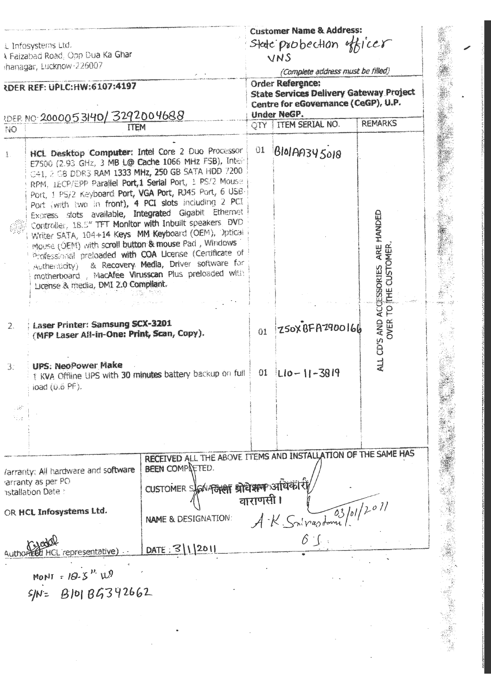|                    | L Infosystems Ltd.                                                                                                                                                                                                                                                   |                                                                                                                                                                                                                                                                                                                                                                                                                                                                                                                                                                                                                                                                                                                                                          |                                                                                                                  | <b>Customer Name &amp; Address:</b><br>State probection officer |                                     |  |  |  |
|--------------------|----------------------------------------------------------------------------------------------------------------------------------------------------------------------------------------------------------------------------------------------------------------------|----------------------------------------------------------------------------------------------------------------------------------------------------------------------------------------------------------------------------------------------------------------------------------------------------------------------------------------------------------------------------------------------------------------------------------------------------------------------------------------------------------------------------------------------------------------------------------------------------------------------------------------------------------------------------------------------------------------------------------------------------------|------------------------------------------------------------------------------------------------------------------|-----------------------------------------------------------------|-------------------------------------|--|--|--|
|                    | A Faizabad Road, Opp Dua Ka Ghar<br>managar, Lucknow-226007                                                                                                                                                                                                          |                                                                                                                                                                                                                                                                                                                                                                                                                                                                                                                                                                                                                                                                                                                                                          |                                                                                                                  | VNS<br>(Complete address must be filled)                        |                                     |  |  |  |
|                    | RDER REF: UPLC:HW:6107:4197                                                                                                                                                                                                                                          |                                                                                                                                                                                                                                                                                                                                                                                                                                                                                                                                                                                                                                                                                                                                                          | <b>Order Reference:</b><br><b>State Services Delivery Gateway Project</b><br>Centre for eGovernance (CeGP), U.P. |                                                                 |                                     |  |  |  |
|                    | WER NO 2000053140/3292004688                                                                                                                                                                                                                                         |                                                                                                                                                                                                                                                                                                                                                                                                                                                                                                                                                                                                                                                                                                                                                          |                                                                                                                  | Under NeGP.                                                     |                                     |  |  |  |
| NO <sub>1</sub>    | <b>TTEM</b>                                                                                                                                                                                                                                                          |                                                                                                                                                                                                                                                                                                                                                                                                                                                                                                                                                                                                                                                                                                                                                          |                                                                                                                  | OTY TTEM SERIAL NO.                                             | <b>REMARKS</b>                      |  |  |  |
| $\ddot{\hat{z}}$ . | License & media, DMI 2.0 Compilant.                                                                                                                                                                                                                                  | HCL Desktop Computer: Intel Core 2 Duo Processor<br>E7500 (2.93 GHz, 3 MB L@ Cache 1066 MHz FSB), Intel-<br>CA1, 2 GB DDR3 RAM 1333 MHz, 250 GB SATA HDD 7200<br>RPM, LECP/EPP Parallel Port,1 Serial Port, 1 PS/2 Mouse<br>Port, 1 PS/2 Keyboard Port, VGA Port, R345 Port, 6 USB-<br>Part (with two in front), 4 PCI slots including 2 PCI<br>Express stots available, Integrated Gigabit Ethernet<br>Controller, 18.5" TFT Monitor with Inbuilt speakers. DVD<br>Writer SATA, 104+14 Keys MM Keyboard (OEM), 'Optical<br>Mouse (OEM) with scroll button & mouse Pad, Windows<br>Professional preloaded with COA License (Certificate of<br>Authenticity) & Recovery Media, Driver software for<br>motherboard , MacAfee Virusscan Plus preloaded with |                                                                                                                  | <b>BIOIAA345018</b>                                             | ALL CD'S AND ACCESSORIES ARE HANDED |  |  |  |
| $\mathbf{2}$ .     | <b>Laser Printer: Samsung SCX-3201</b><br>(MFP Laser All-in-One: Print, Scan, Copy).                                                                                                                                                                                 |                                                                                                                                                                                                                                                                                                                                                                                                                                                                                                                                                                                                                                                                                                                                                          | 01                                                                                                               | Z50XBFAZ900166                                                  |                                     |  |  |  |
| 3.                 | <b>UPS: NeoPower Make</b><br>load $(0.6 \text{ PF}).$                                                                                                                                                                                                                | I KVA Offline UPS with 30 minutes battery backup on full                                                                                                                                                                                                                                                                                                                                                                                                                                                                                                                                                                                                                                                                                                 |                                                                                                                  | $01$ Lio - 11-3819                                              |                                     |  |  |  |
|                    |                                                                                                                                                                                                                                                                      |                                                                                                                                                                                                                                                                                                                                                                                                                                                                                                                                                                                                                                                                                                                                                          |                                                                                                                  |                                                                 |                                     |  |  |  |
|                    |                                                                                                                                                                                                                                                                      |                                                                                                                                                                                                                                                                                                                                                                                                                                                                                                                                                                                                                                                                                                                                                          |                                                                                                                  |                                                                 |                                     |  |  |  |
|                    | RECEIVED ALL THE ABOVE TTEMS AND INSTALLATION OF THE SAME HAS<br><b>BEEN COMPLETED.</b><br>farranty: All hardware and software<br>arranty as per PO<br>CUSTOMER SJONABLER प्रोधेश्वरूप अधिकार<br>astallation Date:<br>OR HCL Infosystems Ltd.<br>NAME & DESIGNATION: |                                                                                                                                                                                                                                                                                                                                                                                                                                                                                                                                                                                                                                                                                                                                                          | वाराणसी।                                                                                                         | $A K S_n$ raston $1^{o}$                                        |                                     |  |  |  |
| Authorite          | HCL representative)                                                                                                                                                                                                                                                  | DATE : 3 1 2011                                                                                                                                                                                                                                                                                                                                                                                                                                                                                                                                                                                                                                                                                                                                          |                                                                                                                  | $\delta$ $\int$ .                                               |                                     |  |  |  |
|                    | MONT = 18-5 <sup>12</sup> $129$                                                                                                                                                                                                                                      |                                                                                                                                                                                                                                                                                                                                                                                                                                                                                                                                                                                                                                                                                                                                                          |                                                                                                                  |                                                                 |                                     |  |  |  |
|                    | $5/N = 810186342662$                                                                                                                                                                                                                                                 |                                                                                                                                                                                                                                                                                                                                                                                                                                                                                                                                                                                                                                                                                                                                                          |                                                                                                                  |                                                                 |                                     |  |  |  |
|                    |                                                                                                                                                                                                                                                                      |                                                                                                                                                                                                                                                                                                                                                                                                                                                                                                                                                                                                                                                                                                                                                          |                                                                                                                  |                                                                 |                                     |  |  |  |
|                    |                                                                                                                                                                                                                                                                      |                                                                                                                                                                                                                                                                                                                                                                                                                                                                                                                                                                                                                                                                                                                                                          |                                                                                                                  |                                                                 |                                     |  |  |  |
|                    |                                                                                                                                                                                                                                                                      |                                                                                                                                                                                                                                                                                                                                                                                                                                                                                                                                                                                                                                                                                                                                                          |                                                                                                                  |                                                                 |                                     |  |  |  |
|                    |                                                                                                                                                                                                                                                                      |                                                                                                                                                                                                                                                                                                                                                                                                                                                                                                                                                                                                                                                                                                                                                          |                                                                                                                  |                                                                 |                                     |  |  |  |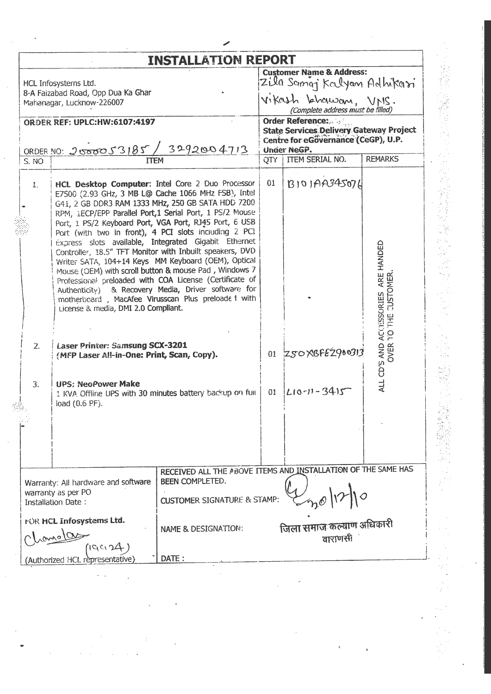|       | <b>INSTALLATION REPORT</b>                                                                                                                                                                                                                                                                                                                                                                          |     |                                                                                                                  |                                            |
|-------|-----------------------------------------------------------------------------------------------------------------------------------------------------------------------------------------------------------------------------------------------------------------------------------------------------------------------------------------------------------------------------------------------------|-----|------------------------------------------------------------------------------------------------------------------|--------------------------------------------|
|       | HCL Infosystems Ltd.<br>8-A Faizabad Road, Opp Dua Ka Ghar                                                                                                                                                                                                                                                                                                                                          |     | <b>Customer Name &amp; Address:</b><br>Zila Somoj Kalyan Adhikani                                                |                                            |
|       | Mahanagar, Lucknow-226007                                                                                                                                                                                                                                                                                                                                                                           |     | vikash bhawan, VNS.<br>(Complete address must be filled)                                                         |                                            |
|       | <b>ORDER REF: UPLC:HW:6107:4197</b>                                                                                                                                                                                                                                                                                                                                                                 |     | <b>Order Reference:</b><br><b>State Services Delivery Gateway Project</b><br>Centre for eGövernance (CeGP), U.P. |                                            |
|       | 13292004713<br>ORDER NO: 2000053185/                                                                                                                                                                                                                                                                                                                                                                |     | Under NeGP.<br>OTY   ITEM SERIAL NO.                                                                             | <b>REMARKS</b>                             |
| S. NO | <b>ITEM</b>                                                                                                                                                                                                                                                                                                                                                                                         |     |                                                                                                                  |                                            |
| 1.    | HCL Desktop Computer: Intel Core 2 Duo Processor<br>E7500 (2.93 GHz, 3 MB L@ Cache 1066 MHz FSB), Intel<br>G41, 2 GB DDR3 RAM 1333 MHz, 250 GB SATA HDD 7200<br>RPM, 1ECP/EPP Parallel Port, 1 Serial Port, 1 PS/2 Mouse<br>Port, 1 PS/2 Keyboard Port, VGA Port, RJ45 Port, 6 USB<br>Port (with two in front), 4 PCI slots including 2 PCI<br>Express slots available, Integrated Gigabit Ethernet | 01  | BIOIAA34507L                                                                                                     |                                            |
|       | Controller, 18.5" TFT Monitor with Inbuilt speakers, DVD<br>Writer SATA, 104+14 Keys MM Keyboard (OEM), Optical<br>Mouse (OEM) with scroll button & mouse Pad, Windows 7<br>Professional preloaded with COA License (Certificate of<br>Authenticity) & Recovery Media, Driver software for<br>motherboard, MacAfee Virusscan Plus preloade f with<br>License & media, DMI 2.0 Compliant.            |     |                                                                                                                  | ACCISSORIES ARE HANDED<br>10 THE CUSTOMER. |
| 2.    | Laser Printer: Samsung SCX-3201<br>(MFP Laser All-in-One: Print, Scan, Copy).                                                                                                                                                                                                                                                                                                                       |     | 01 Z50XBFEZ900313                                                                                                | CD'S AND<br>OVER <sup>-</sup>              |
| 3.    | <b>UPS: NeoPower Make</b><br>1 KVA Offline UPS with 30 minutes battery backup on full<br>load (0.6 PF).                                                                                                                                                                                                                                                                                             | UI. | $ L10-11-3415$                                                                                                   |                                            |
|       |                                                                                                                                                                                                                                                                                                                                                                                                     |     |                                                                                                                  |                                            |
|       | RECEIVED ALL THE ABOVE ITEMS AND INSTALLATION OF THE SAME HAS<br><b>BEEN COMPLETED.</b><br>Warranty: All hardware and software<br>warranty as per PO<br><b>CUSTOMER SIGNATURE &amp; STAMP:</b><br><b>Installation Date:</b>                                                                                                                                                                         |     |                                                                                                                  |                                            |
|       | FOR FICL Infosystems Ltd.<br>NAME & DESIGNATION:<br>490.24                                                                                                                                                                                                                                                                                                                                          |     | जिला समाज कल्याण अधिकारी<br>वाराणसी                                                                              |                                            |
|       | DATE:<br>(Authorized HCL representative)                                                                                                                                                                                                                                                                                                                                                            |     |                                                                                                                  |                                            |

 $\overline{\phantom{a}}$ 

 $\frac{1}{\sqrt{2}}$ 

 $\frac{1}{2}$ 

 $\frac{1}{2}$ 

 $\hat{\mathcal{A}}$ 

 $\ddot{\phantom{1}}$ 

 $\frac{1}{2}$ 

 $\frac{1}{2} \left( \frac{1}{2} \right)$ 

医肠下的 有理的过去式和过去分词

 $\frac{1}{\sqrt{2}}$ 

 $\frac{1}{2}$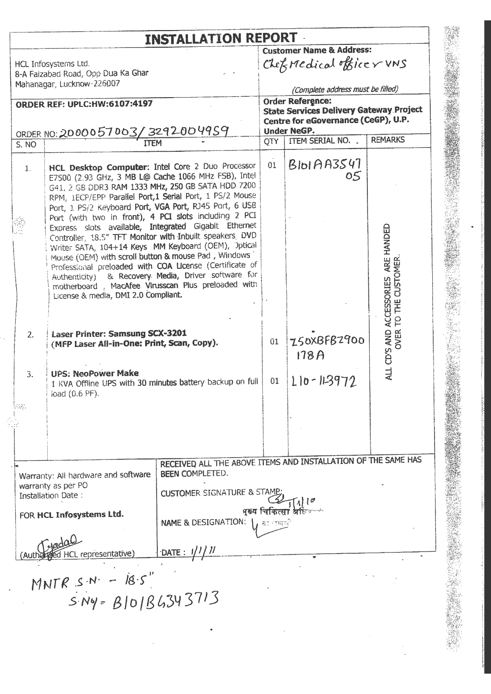|                                                 |                                                                                                                                                                                                                                                                                                                                                                                                                                                                                                        | <b>INSTALLATION REPORT -</b>                                  |                                                                                       | <b>Customer Name &amp; Address:</b>   |                                                              |  |  |
|-------------------------------------------------|--------------------------------------------------------------------------------------------------------------------------------------------------------------------------------------------------------------------------------------------------------------------------------------------------------------------------------------------------------------------------------------------------------------------------------------------------------------------------------------------------------|---------------------------------------------------------------|---------------------------------------------------------------------------------------|---------------------------------------|--------------------------------------------------------------|--|--|
|                                                 | HCL Infosystems Ltd.                                                                                                                                                                                                                                                                                                                                                                                                                                                                                   | Chef Medical officer VNS                                      |                                                                                       |                                       |                                                              |  |  |
|                                                 | 8-A Faizabad Road, Opp Dua Ka Ghar                                                                                                                                                                                                                                                                                                                                                                                                                                                                     |                                                               |                                                                                       |                                       |                                                              |  |  |
|                                                 | Mahanagar, Lucknow-226007                                                                                                                                                                                                                                                                                                                                                                                                                                                                              |                                                               |                                                                                       | (Complete address must be filled)     |                                                              |  |  |
|                                                 | <b>ORDER REF: UPLC:HW:6107:4197</b>                                                                                                                                                                                                                                                                                                                                                                                                                                                                    |                                                               |                                                                                       | Order Reference:                      |                                                              |  |  |
|                                                 |                                                                                                                                                                                                                                                                                                                                                                                                                                                                                                        |                                                               | <b>State Services Delivery Gateway Project</b><br>Centre for eGovernance (CeGP), U.P. |                                       |                                                              |  |  |
|                                                 | ORDER NO: 2000057003/3292004959                                                                                                                                                                                                                                                                                                                                                                                                                                                                        |                                                               |                                                                                       | <b>Under NeGP.</b>                    |                                                              |  |  |
| $\overline{S}$ . NO                             |                                                                                                                                                                                                                                                                                                                                                                                                                                                                                                        |                                                               | OTY.                                                                                  | ITEM SERIAL NO.                       | <b>REMARKS</b>                                               |  |  |
| $\mathbf{1}$ .                                  | HCL Desktop Computer: Intel Core 2 Duo Processor<br>E7500 (2.93 GHz, 3 MB L@ Cache 1066 MHz FSB), Intel<br>G41, 2 GB DDR3 RAM 1333 MHz, 250 GB SATA HDD 7200<br>RPM, 1ECP/EPP Parallel Port,1 Serial Port, 1 PS/2 Mouse<br>Port, 1 PS/2 Keyboard Port, VGA Port, RJ45 Port, 6 USB                                                                                                                                                                                                                      |                                                               | 01                                                                                    | $B101A1AB2S4$<br>05                   |                                                              |  |  |
|                                                 | Port (with two in front), 4 PCI slots including 2 PCI<br>Express slots available, Integrated Gigabit Ethernet<br>Controller, 18.5" TFT Monitor with Inbuilt speakers, DVD<br>Writer SATA, 104+14 Keys MM Keyboard (OEM), Optical<br>Mouse (OEM) with scroll button & mouse Pad, Windows<br>Professional preloaded with COA License (Certificate of<br>Authenticity) & Recovery Media, Driver software for<br>motherboard, MacAfee Virusscan Plus preloaded with<br>License & media, DMI 2.0 Compliant. |                                                               |                                                                                       |                                       | ALL CD'S AND ACCESSORIES ARE HANDED<br>OVER TO THE CUSTOMER. |  |  |
| 2.<br>3.                                        | Laser Printer: Samsung SCX-3201<br>(MFP Laser All-in-One: Print, Scan, Copy).<br><b>UPS: NeoPower Make</b><br>1 KVA Offline UPS with 30 minutes battery backup on full                                                                                                                                                                                                                                                                                                                                 |                                                               |                                                                                       | Z50XBFBZ900<br>178A<br>$110 - 113972$ |                                                              |  |  |
|                                                 | load (0.6 PF).                                                                                                                                                                                                                                                                                                                                                                                                                                                                                         |                                                               |                                                                                       |                                       |                                                              |  |  |
|                                                 |                                                                                                                                                                                                                                                                                                                                                                                                                                                                                                        |                                                               |                                                                                       |                                       |                                                              |  |  |
|                                                 |                                                                                                                                                                                                                                                                                                                                                                                                                                                                                                        |                                                               |                                                                                       |                                       |                                                              |  |  |
|                                                 |                                                                                                                                                                                                                                                                                                                                                                                                                                                                                                        |                                                               |                                                                                       |                                       |                                                              |  |  |
|                                                 |                                                                                                                                                                                                                                                                                                                                                                                                                                                                                                        | RECEIVED ALL THE ABOVE ITEMS AND INSTALLATION OF THE SAME HAS |                                                                                       |                                       |                                                              |  |  |
|                                                 | Warranty: All hardware and software                                                                                                                                                                                                                                                                                                                                                                                                                                                                    | <b>BEEN COMPLETED.</b>                                        |                                                                                       |                                       |                                                              |  |  |
|                                                 | warranty as per PO<br>Installation Date:                                                                                                                                                                                                                                                                                                                                                                                                                                                               | <b>CUSTOMER SIGNATURE &amp; STAMP.</b>                        |                                                                                       |                                       |                                                              |  |  |
| FOR HCL Infosystems Ltd.<br>NAME & DESIGNATION: |                                                                                                                                                                                                                                                                                                                                                                                                                                                                                                        |                                                               | ায় প্ৰথম ক                                                                           | पुरुष चिकित्सा अधिकारी                |                                                              |  |  |
|                                                 | HCL representative)                                                                                                                                                                                                                                                                                                                                                                                                                                                                                    | $\frac{1}{2}$ Date: $1/1/11$                                  |                                                                                       |                                       |                                                              |  |  |
|                                                 |                                                                                                                                                                                                                                                                                                                                                                                                                                                                                                        |                                                               |                                                                                       |                                       |                                                              |  |  |
|                                                 | MNTR $S-N - 18.5''$<br>$SN9 - B10186343713$                                                                                                                                                                                                                                                                                                                                                                                                                                                            |                                                               |                                                                                       |                                       |                                                              |  |  |
|                                                 |                                                                                                                                                                                                                                                                                                                                                                                                                                                                                                        |                                                               |                                                                                       |                                       |                                                              |  |  |
|                                                 |                                                                                                                                                                                                                                                                                                                                                                                                                                                                                                        |                                                               |                                                                                       |                                       |                                                              |  |  |
|                                                 |                                                                                                                                                                                                                                                                                                                                                                                                                                                                                                        |                                                               |                                                                                       |                                       |                                                              |  |  |

 $\ddot{\phantom{0}}$ 

 $\ddot{\phantom{0}}$